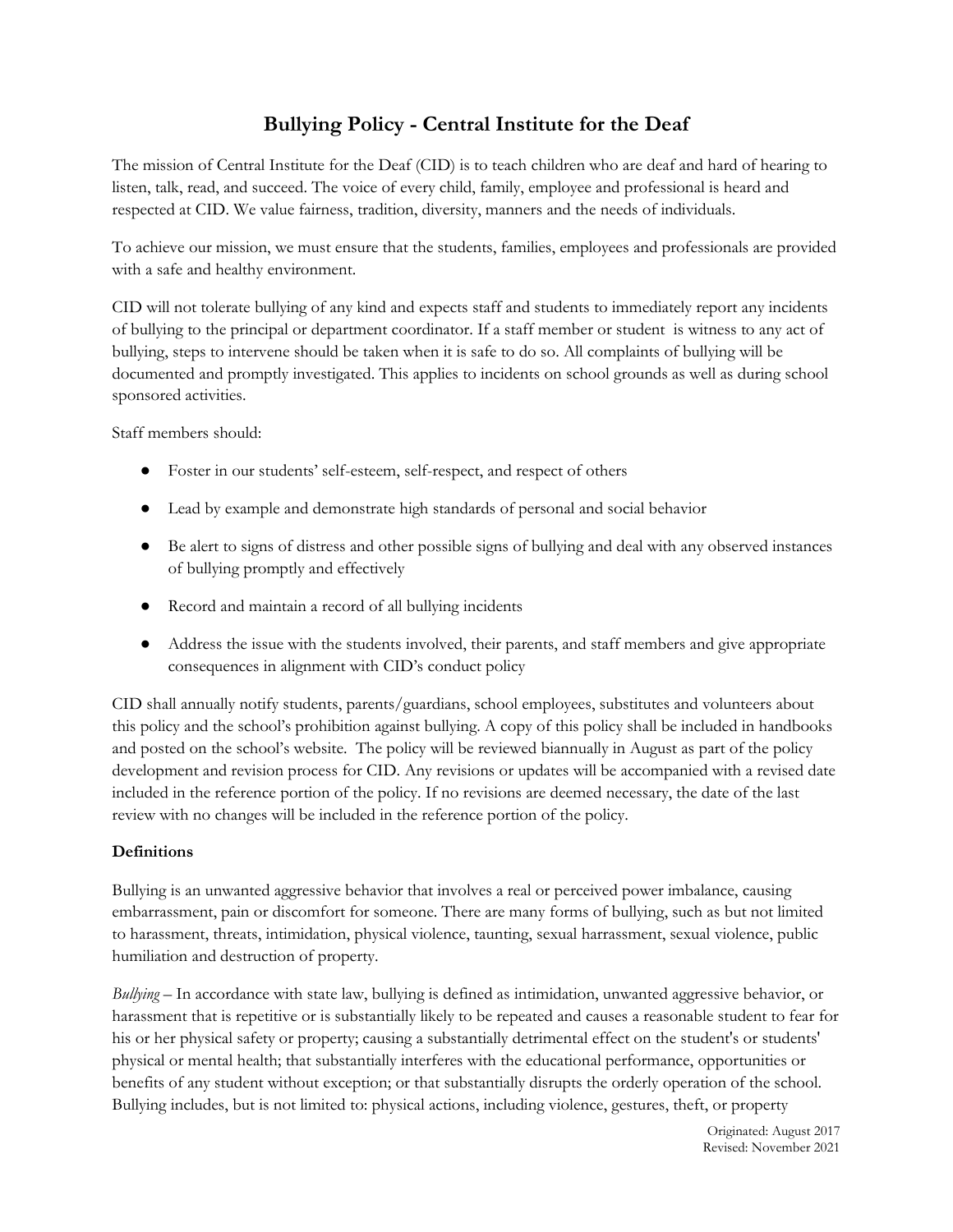# **Bullying Policy - Central Institute for the Deaf**

The mission of Central Institute for the Deaf (CID) is to teach children who are deaf and hard of hearing to listen, talk, read, and succeed. The voice of every child, family, employee and professional is heard and respected at CID. We value fairness, tradition, diversity, manners and the needs of individuals.

To achieve our mission, we must ensure that the students, families, employees and professionals are provided with a safe and healthy environment.

CID will not tolerate bullying of any kind and expects staff and students to immediately report any incidents of bullying to the principal or department coordinator. If a staff member or student is witness to any act of bullying, steps to intervene should be taken when it is safe to do so. All complaints of bullying will be documented and promptly investigated. This applies to incidents on school grounds as well as during school sponsored activities.

Staff members should:

- Foster in our students' self-esteem, self-respect, and respect of others
- Lead by example and demonstrate high standards of personal and social behavior
- Be alert to signs of distress and other possible signs of bullying and deal with any observed instances of bullying promptly and effectively
- Record and maintain a record of all bullying incidents
- Address the issue with the students involved, their parents, and staff members and give appropriate consequences in alignment with CID's conduct policy

CID shall annually notify students, parents/guardians, school employees, substitutes and volunteers about this policy and the school's prohibition against bullying. A copy of this policy shall be included in handbooks and posted on the school's website. The policy will be reviewed biannually in August as part of the policy development and revision process for CID. Any revisions or updates will be accompanied with a revised date included in the reference portion of the policy. If no revisions are deemed necessary, the date of the last review with no changes will be included in the reference portion of the policy.

# **Definitions**

Bullying is an unwanted aggressive behavior that involves a real or perceived power imbalance, causing embarrassment, pain or discomfort for someone. There are many forms of bullying, such as but not limited to harassment, threats, intimidation, physical violence, taunting, sexual harrassment, sexual violence, public humiliation and destruction of property.

*Bullying* – In accordance with state law, bullying is defined as intimidation, unwanted aggressive behavior, or harassment that is repetitive or is substantially likely to be repeated and causes a reasonable student to fear for his or her physical safety or property; causing a substantially detrimental effect on the student's or students' physical or mental health; that substantially interferes with the educational performance, opportunities or benefits of any student without exception; or that substantially disrupts the orderly operation of the school. Bullying includes, but is not limited to: physical actions, including violence, gestures, theft, or property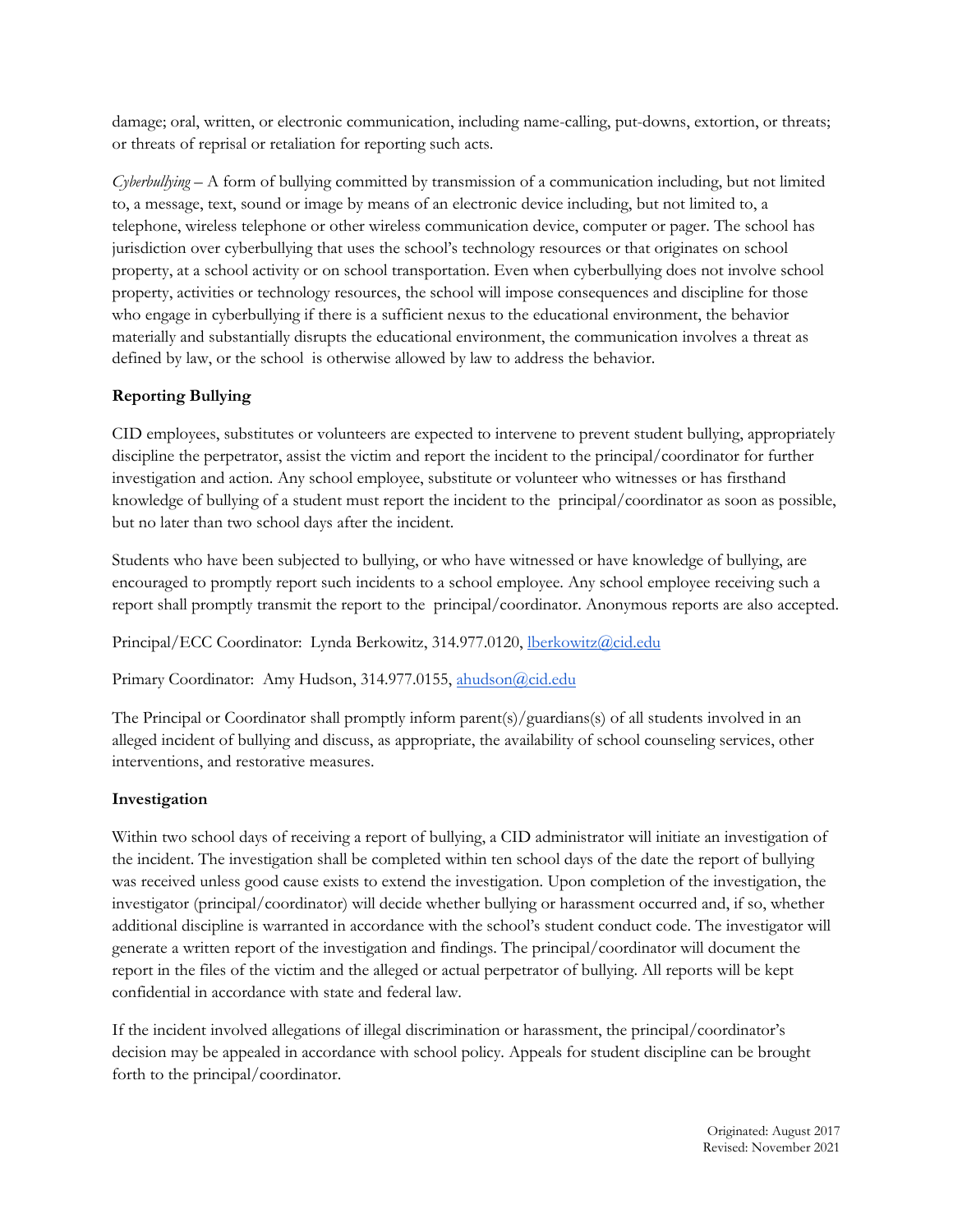damage; oral, written, or electronic communication, including name-calling, put-downs, extortion, or threats; or threats of reprisal or retaliation for reporting such acts.

*Cyberbullying* – A form of bullying committed by transmission of a communication including, but not limited to, a message, text, sound or image by means of an electronic device including, but not limited to, a telephone, wireless telephone or other wireless communication device, computer or pager. The school has jurisdiction over cyberbullying that uses the school's technology resources or that originates on school property, at a school activity or on school transportation. Even when cyberbullying does not involve school property, activities or technology resources, the school will impose consequences and discipline for those who engage in cyberbullying if there is a sufficient nexus to the educational environment, the behavior materially and substantially disrupts the educational environment, the communication involves a threat as defined by law, or the school is otherwise allowed by law to address the behavior.

# **Reporting Bullying**

CID employees, substitutes or volunteers are expected to intervene to prevent student bullying, appropriately discipline the perpetrator, assist the victim and report the incident to the principal/coordinator for further investigation and action. Any school employee, substitute or volunteer who witnesses or has firsthand knowledge of bullying of a student must report the incident to the principal/coordinator as soon as possible, but no later than two school days after the incident.

Students who have been subjected to bullying, or who have witnessed or have knowledge of bullying, are encouraged to promptly report such incidents to a school employee. Any school employee receiving such a report shall promptly transmit the report to the principal/coordinator. Anonymous reports are also accepted.

Principal/ECC Coordinator: Lynda Berkowitz, 314.977.0120, [lberkowitz@cid.edu](mailto:lberkowitz@cid.edu)

Primary Coordinator: Amy Hudson, 314.977.0155, [ahudson@cid.edu](mailto:ahudson@cid.edu)

The Principal or Coordinator shall promptly inform parent(s)/guardians(s) of all students involved in an alleged incident of bullying and discuss, as appropriate, the availability of school counseling services, other interventions, and restorative measures.

# **Investigation**

Within two school days of receiving a report of bullying, a CID administrator will initiate an investigation of the incident. The investigation shall be completed within ten school days of the date the report of bullying was received unless good cause exists to extend the investigation. Upon completion of the investigation, the investigator (principal/coordinator) will decide whether bullying or harassment occurred and, if so, whether additional discipline is warranted in accordance with the school's student conduct code. The investigator will generate a written report of the investigation and findings. The principal/coordinator will document the report in the files of the victim and the alleged or actual perpetrator of bullying. All reports will be kept confidential in accordance with state and federal law.

If the incident involved allegations of illegal discrimination or harassment, the principal/coordinator's decision may be appealed in accordance with school policy. Appeals for student discipline can be brought forth to the principal/coordinator.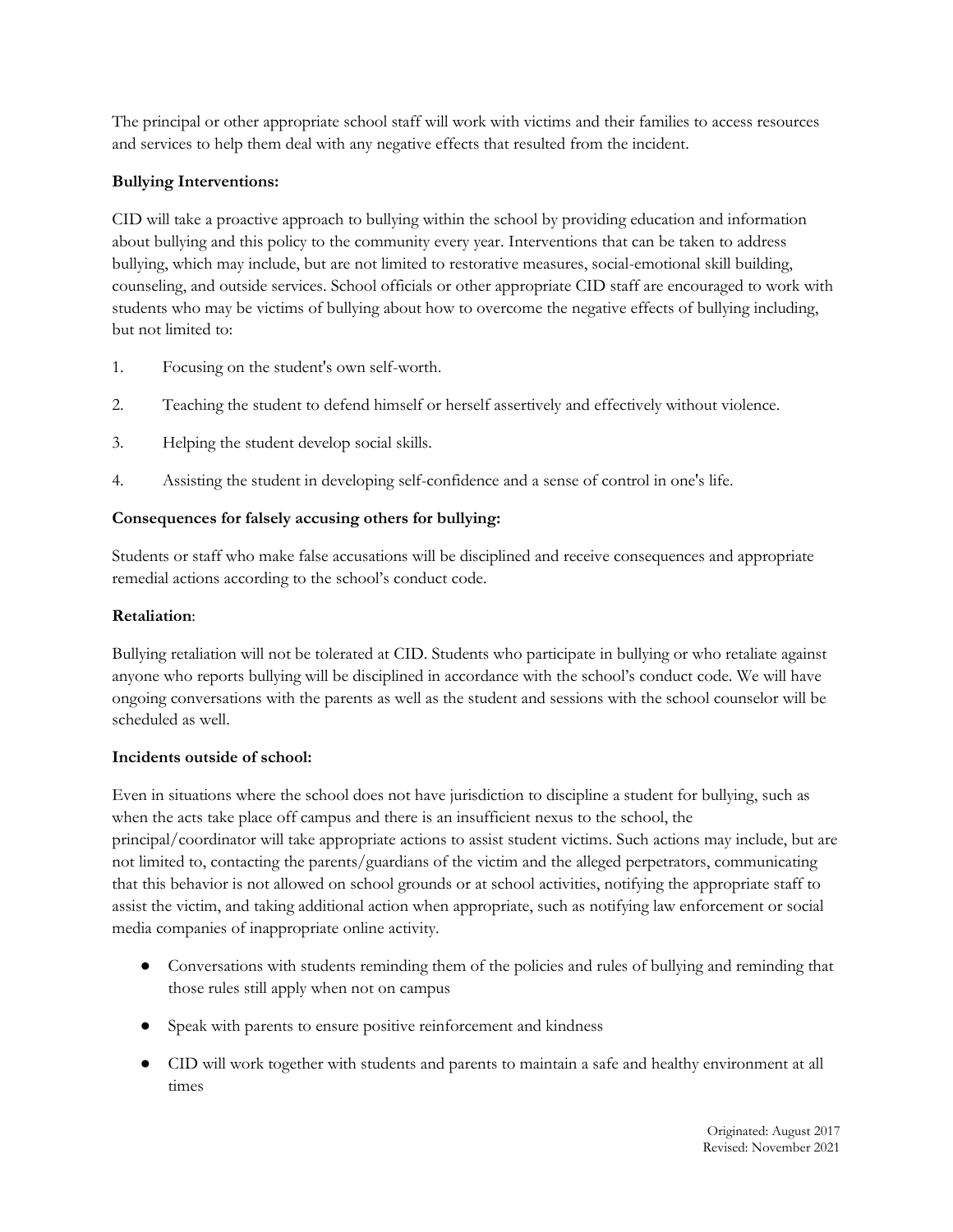The principal or other appropriate school staff will work with victims and their families to access resources and services to help them deal with any negative effects that resulted from the incident.

# **Bullying Interventions:**

CID will take a proactive approach to bullying within the school by providing education and information about bullying and this policy to the community every year. Interventions that can be taken to address bullying, which may include, but are not limited to restorative measures, social-emotional skill building, counseling, and outside services. School officials or other appropriate CID staff are encouraged to work with students who may be victims of bullying about how to overcome the negative effects of bullying including, but not limited to:

- 1. Focusing on the student's own self-worth.
- 2. Teaching the student to defend himself or herself assertively and effectively without violence.
- 3. Helping the student develop social skills.
- 4. Assisting the student in developing self-confidence and a sense of control in one's life.

## **Consequences for falsely accusing others for bullying:**

Students or staff who make false accusations will be disciplined and receive consequences and appropriate remedial actions according to the school's conduct code.

### **Retaliation**:

Bullying retaliation will not be tolerated at CID. Students who participate in bullying or who retaliate against anyone who reports bullying will be disciplined in accordance with the school's conduct code. We will have ongoing conversations with the parents as well as the student and sessions with the school counselor will be scheduled as well.

#### **Incidents outside of school:**

Even in situations where the school does not have jurisdiction to discipline a student for bullying, such as when the acts take place off campus and there is an insufficient nexus to the school, the principal/coordinator will take appropriate actions to assist student victims. Such actions may include, but are not limited to, contacting the parents/guardians of the victim and the alleged perpetrators, communicating that this behavior is not allowed on school grounds or at school activities, notifying the appropriate staff to assist the victim, and taking additional action when appropriate, such as notifying law enforcement or social media companies of inappropriate online activity.

- Conversations with students reminding them of the policies and rules of bullying and reminding that those rules still apply when not on campus
- Speak with parents to ensure positive reinforcement and kindness
- CID will work together with students and parents to maintain a safe and healthy environment at all times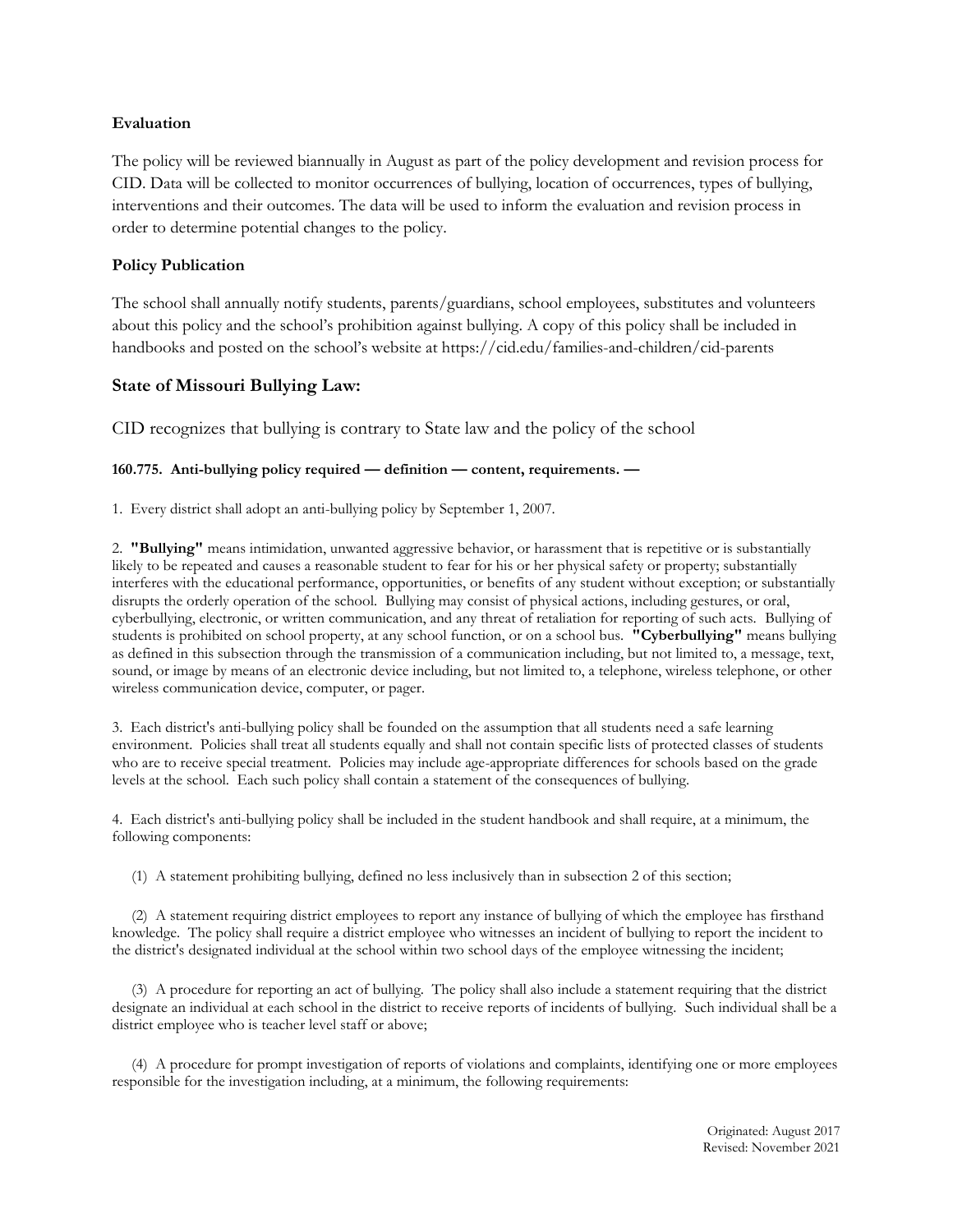#### **Evaluation**

The policy will be reviewed biannually in August as part of the policy development and revision process for CID. Data will be collected to monitor occurrences of bullying, location of occurrences, types of bullying, interventions and their outcomes. The data will be used to inform the evaluation and revision process in order to determine potential changes to the policy.

#### **Policy Publication**

The school shall annually notify students, parents/guardians, school employees, substitutes and volunteers about this policy and the school's prohibition against bullying. A copy of this policy shall be included in handbooks and posted on the school's website at https://cid.edu/families-and-children/cid-parents

## **State of Missouri Bullying Law:**

CID recognizes that bullying is contrary to State law and the policy of the school

#### **160.775. Anti-bullying policy required — definition — content, requirements. —**

1. Every district shall adopt an anti-bullying policy by September 1, 2007.

2. **"Bullying"** means intimidation, unwanted aggressive behavior, or harassment that is repetitive or is substantially likely to be repeated and causes a reasonable student to fear for his or her physical safety or property; substantially interferes with the educational performance, opportunities, or benefits of any student without exception; or substantially disrupts the orderly operation of the school. Bullying may consist of physical actions, including gestures, or oral, cyberbullying, electronic, or written communication, and any threat of retaliation for reporting of such acts. Bullying of students is prohibited on school property, at any school function, or on a school bus. **"Cyberbullying"** means bullying as defined in this subsection through the transmission of a communication including, but not limited to, a message, text, sound, or image by means of an electronic device including, but not limited to, a telephone, wireless telephone, or other wireless communication device, computer, or pager.

3. Each district's anti-bullying policy shall be founded on the assumption that all students need a safe learning environment. Policies shall treat all students equally and shall not contain specific lists of protected classes of students who are to receive special treatment. Policies may include age-appropriate differences for schools based on the grade levels at the school. Each such policy shall contain a statement of the consequences of bullying.

4. Each district's anti-bullying policy shall be included in the student handbook and shall require, at a minimum, the following components:

(1) A statement prohibiting bullying, defined no less inclusively than in subsection 2 of this section;

(2) A statement requiring district employees to report any instance of bullying of which the employee has firsthand knowledge. The policy shall require a district employee who witnesses an incident of bullying to report the incident to the district's designated individual at the school within two school days of the employee witnessing the incident;

(3) A procedure for reporting an act of bullying. The policy shall also include a statement requiring that the district designate an individual at each school in the district to receive reports of incidents of bullying. Such individual shall be a district employee who is teacher level staff or above;

(4) A procedure for prompt investigation of reports of violations and complaints, identifying one or more employees responsible for the investigation including, at a minimum, the following requirements: